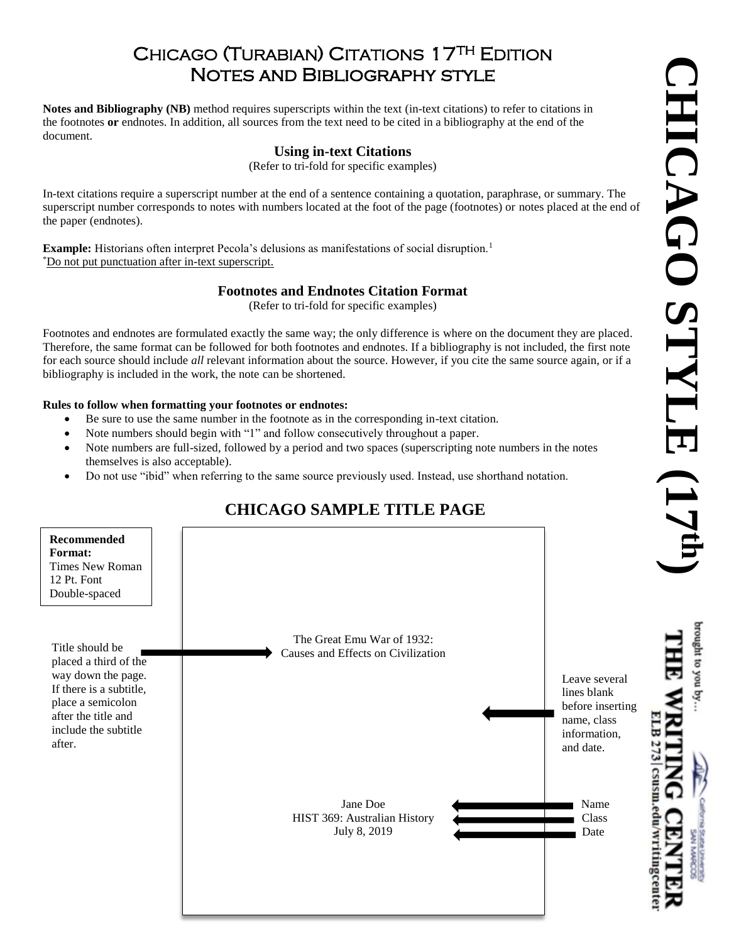## CHICAGO (TURABIAN) CITATIONS 17TH EDITION Notes and Bibliography style

**Notes and Bibliography (NB)** method requires superscripts within the text (in-text citations) to refer to citations in the footnotes **or** endnotes. In addition, all sources from the text need to be cited in a bibliography at the end of the document.

### **Using in-text Citations**

(Refer to tri-fold for specific examples)

In-text citations require a superscript number at the end of a sentence containing a quotation, paraphrase, or summary. The superscript number corresponds to notes with numbers located at the foot of the page (footnotes) or notes placed at the end of the paper (endnotes).

**Example:** Historians often interpret Pecola's delusions as manifestations of social disruption.<sup>1</sup> \*Do not put punctuation after in-text superscript.

## **Footnotes and Endnotes Citation Format**

(Refer to tri-fold for specific examples)

Footnotes and endnotes are formulated exactly the same way; the only difference is where on the document they are placed. Therefore, the same format can be followed for both footnotes and endnotes. If a bibliography is not included, the first note for each source should include *all* relevant information about the source. However, if you cite the same source again, or if a bibliography is included in the work, the note can be shortened.

#### **Rules to follow when formatting your footnotes or endnotes:**

- Be sure to use the same number in the footnote as in the corresponding in-text citation.
- Note numbers should begin with "1" and follow consecutively throughout a paper.
- Note numbers are full-sized, followed by a period and two spaces (superscripting note numbers in the notes themselves is also acceptable).
- Do not use "ibid" when referring to the same source previously used. Instead, use shorthand notation.

# **CHICAGO SAMPLE TITLE PAGE**